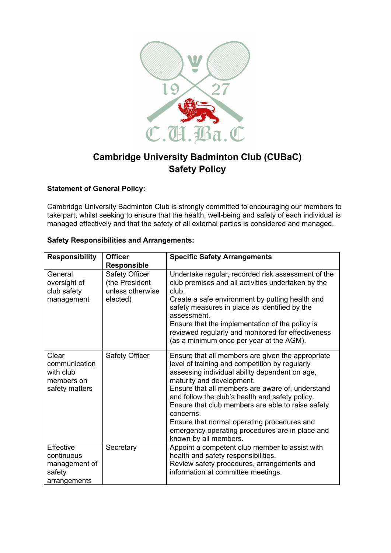

## **Cambridge University Badminton Club (CUBaC) Safety Policy**

## **Statement of General Policy:**

Cambridge University Badminton Club is strongly committed to encouraging our members to take part, whilst seeking to ensure that the health, well-being and safety of each individual is managed effectively and that the safety of all external parties is considered and managed.

## **Safety Responsibilities and Arrangements:**

| <b>Responsibility</b>                                               | <b>Officer</b><br><b>Responsible</b>                             | <b>Specific Safety Arrangements</b>                                                                                                                                                                                                                                                                                                                                                                                                                                                    |
|---------------------------------------------------------------------|------------------------------------------------------------------|----------------------------------------------------------------------------------------------------------------------------------------------------------------------------------------------------------------------------------------------------------------------------------------------------------------------------------------------------------------------------------------------------------------------------------------------------------------------------------------|
| General<br>oversight of<br>club safety<br>management                | Safety Officer<br>(the President<br>unless otherwise<br>elected) | Undertake regular, recorded risk assessment of the<br>club premises and all activities undertaken by the<br>club.<br>Create a safe environment by putting health and<br>safety measures in place as identified by the<br>assessment.<br>Ensure that the implementation of the policy is<br>reviewed regularly and monitored for effectiveness<br>(as a minimum once per year at the AGM).                                                                                              |
| Clear<br>communication<br>with club<br>members on<br>safety matters | Safety Officer                                                   | Ensure that all members are given the appropriate<br>level of training and competition by regularly<br>assessing individual ability dependent on age,<br>maturity and development.<br>Ensure that all members are aware of, understand<br>and follow the club's health and safety policy.<br>Ensure that club members are able to raise safety<br>concerns.<br>Ensure that normal operating procedures and<br>emergency operating procedures are in place and<br>known by all members. |
| Effective<br>continuous<br>management of<br>safety<br>arrangements  | Secretary                                                        | Appoint a competent club member to assist with<br>health and safety responsibilities.<br>Review safety procedures, arrangements and<br>information at committee meetings.                                                                                                                                                                                                                                                                                                              |